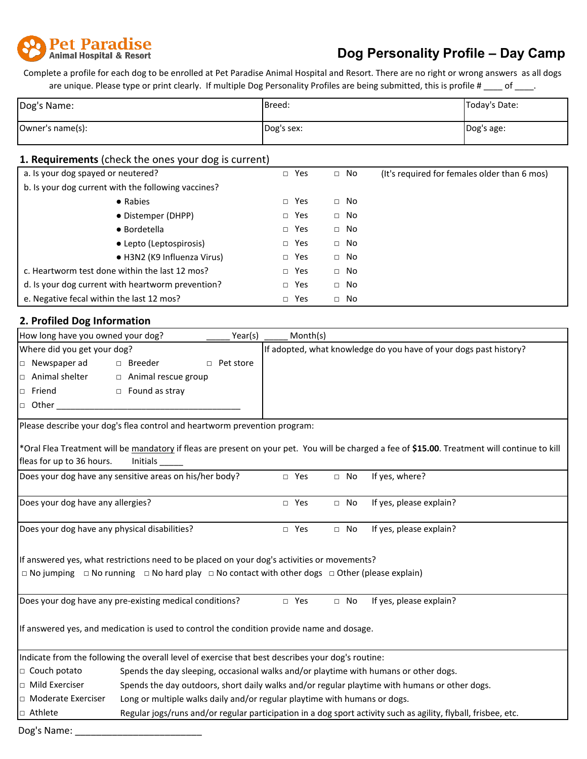

## **Dog Personality Profile – Day Camp**

Complete a profile for each dog to be enrolled at Pet Paradise Animal Hospital and Resort. There are no right or wrong answers as all dogs are unique. Please type or print clearly. If multiple Dog Personality Profiles are being submitted, this is profile # \_\_\_\_ of \_\_\_\_.

| Dog's Name:      | Breed:     | Today's Date: |
|------------------|------------|---------------|
| Owner's name(s): | Dog's sex: | Dog's age:    |

## **1. Requirements** (check the ones your dog is current)

| a. Is your dog spayed or neutered?                  | Yes<br>$\Box$ | $\Box$ No    | (It's required for females older than 6 mos) |
|-----------------------------------------------------|---------------|--------------|----------------------------------------------|
| b. Is your dog current with the following vaccines? |               |              |                                              |
| • Rabies                                            | Yes<br>П      | No<br>$\Box$ |                                              |
| • Distemper (DHPP)                                  | Yes<br>$\Box$ | $\Box$ No    |                                              |
| • Bordetella                                        | Yes<br>$\Box$ | No<br>$\Box$ |                                              |
| • Lepto (Leptospirosis)                             | Yes<br>$\Box$ | $\Box$ No    |                                              |
| • H3N2 (K9 Influenza Virus)                         | Yes<br>$\Box$ | $\Box$ No    |                                              |
| c. Heartworm test done within the last 12 mos?      | Yes<br>$\Box$ | No<br>$\Box$ |                                              |
| d. Is your dog current with heartworm prevention?   | Yes<br>$\Box$ | No<br>$\Box$ |                                              |
| e. Negative fecal within the last 12 mos?           | Yes<br>$\Box$ | No<br>$\Box$ |                                              |

## **2. Profiled Dog Information**

| How long have you owned your dog?                                                                                       |                                                                                               | Year(s)             | Month(s)   |                                                                   |           |                                                                                                                                                |  |
|-------------------------------------------------------------------------------------------------------------------------|-----------------------------------------------------------------------------------------------|---------------------|------------|-------------------------------------------------------------------|-----------|------------------------------------------------------------------------------------------------------------------------------------------------|--|
|                                                                                                                         | Where did you get your dog?                                                                   |                     |            | If adopted, what knowledge do you have of your dogs past history? |           |                                                                                                                                                |  |
| $\Box$ Newspaper ad                                                                                                     | □ Breeder                                                                                     | Pet store<br>$\Box$ |            |                                                                   |           |                                                                                                                                                |  |
| $\Box$ Animal shelter                                                                                                   | $\Box$ Animal rescue group                                                                    |                     |            |                                                                   |           |                                                                                                                                                |  |
| $\Box$ Friend                                                                                                           | $\Box$ Found as stray                                                                         |                     |            |                                                                   |           |                                                                                                                                                |  |
| $\Box$ Other                                                                                                            |                                                                                               |                     |            |                                                                   |           |                                                                                                                                                |  |
| Please describe your dog's flea control and heartworm prevention program:                                               |                                                                                               |                     |            |                                                                   |           |                                                                                                                                                |  |
|                                                                                                                         |                                                                                               |                     |            |                                                                   |           | *Oral Flea Treatment will be mandatory if fleas are present on your pet. You will be charged a fee of \$15.00. Treatment will continue to kill |  |
| fleas for up to 36 hours.                                                                                               | Initials                                                                                      |                     |            |                                                                   |           |                                                                                                                                                |  |
| Does your dog have any sensitive areas on his/her body?                                                                 |                                                                                               |                     | □ Yes      |                                                                   | $\Box$ No | If yes, where?                                                                                                                                 |  |
| Does your dog have any allergies?                                                                                       |                                                                                               |                     | $\Box$ Yes |                                                                   | $\Box$ No | If yes, please explain?                                                                                                                        |  |
| Does your dog have any physical disabilities?                                                                           |                                                                                               |                     | $\Box$ Yes |                                                                   | $\Box$ No | If yes, please explain?                                                                                                                        |  |
| If answered yes, what restrictions need to be placed on your dog's activities or movements?                             |                                                                                               |                     |            |                                                                   |           |                                                                                                                                                |  |
| $\Box$ No jumping $\Box$ No running $\Box$ No hard play $\Box$ No contact with other dogs $\Box$ Other (please explain) |                                                                                               |                     |            |                                                                   |           |                                                                                                                                                |  |
| Does your dog have any pre-existing medical conditions?                                                                 |                                                                                               |                     | □ Yes      |                                                                   | $\Box$ No | If yes, please explain?                                                                                                                        |  |
| If answered yes, and medication is used to control the condition provide name and dosage.                               |                                                                                               |                     |            |                                                                   |           |                                                                                                                                                |  |
| Indicate from the following the overall level of exercise that best describes your dog's routine:                       |                                                                                               |                     |            |                                                                   |           |                                                                                                                                                |  |
| $\Box$ Couch potato                                                                                                     | Spends the day sleeping, occasional walks and/or playtime with humans or other dogs.          |                     |            |                                                                   |           |                                                                                                                                                |  |
| $\Box$ Mild Exerciser                                                                                                   | Spends the day outdoors, short daily walks and/or regular playtime with humans or other dogs. |                     |            |                                                                   |           |                                                                                                                                                |  |
| $\Box$ Moderate Exerciser                                                                                               | Long or multiple walks daily and/or regular playtime with humans or dogs.                     |                     |            |                                                                   |           |                                                                                                                                                |  |
| $\Box$ Athlete                                                                                                          |                                                                                               |                     |            |                                                                   |           | Regular jogs/runs and/or regular participation in a dog sport activity such as agility, flyball, frisbee, etc.                                 |  |
| Dog's Namer                                                                                                             |                                                                                               |                     |            |                                                                   |           |                                                                                                                                                |  |

Dog's Name: \_\_\_\_\_\_\_\_\_\_\_\_\_\_\_\_\_\_\_\_\_\_\_\_